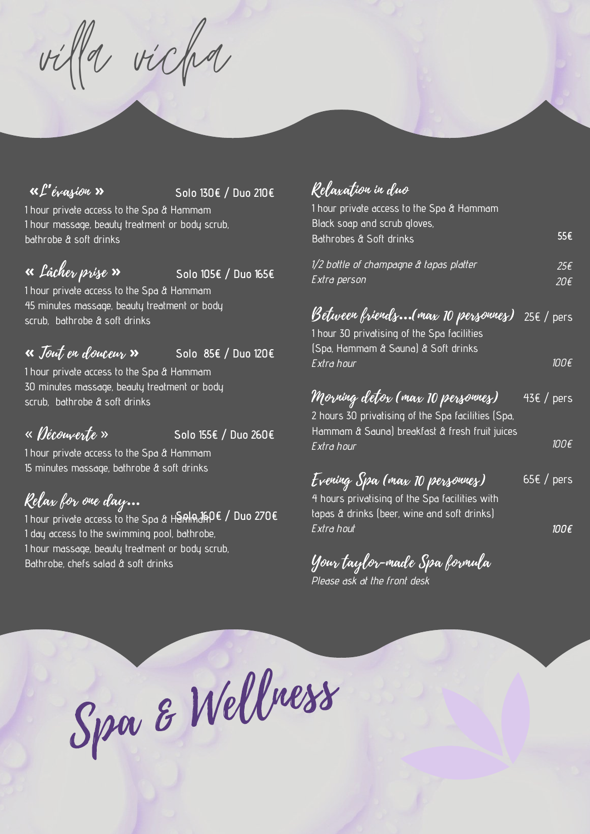villa vicha

### **«**L**'**évasion **»**

#### **Solo 130€ / Duo 210€**

1 hour private access to the Spa & Hammam 1 hour massage, beauty treatment or body scrub, bathrobe & soft drinks

# **«** Lâcher prise **»**

**Solo 105€ / Duo 165€**

1 hour private access to the Spa & Hammam 45 minutes massage, beauty treatment or body scrub, bathrobe & soft drinks

#### **Solo 85€ / Duo 120€ «** Tout en douceur **»**

1 hour private access to the Spa & Hammam 30 minutes massage, beauty treatment or body scrub, bathrobe & soft drinks

## « Découverte »

**Solo 155€ / Duo 260€**

1 hour private access to the Spa & Hammam 15 minutes massage, bathrobe & soft drinks

## Relax for one day**…**

**Solo 160€ / Duo 270€** 1 hour private access to the Spa & Hammam 1 day access to the swimming pool, bathrobe, 1 hour massage, beauty treatment or body scrub, Bathrobe, chefs salad & soft drinks

## Relaxation in duo

| 1 hour private access to the Spa & Hammam<br>Black soap and scrub gloves,<br>Bathrobes & Soft drinks                                     | 55€          |
|------------------------------------------------------------------------------------------------------------------------------------------|--------------|
| 1/2 bottle of champagne & tapas platter<br>Extra person                                                                                  | 25€<br>20€   |
| Between friends(max 10 personnes)<br>1 hour 30 privatising of the Spa facilities<br>(Spa, Hammam & Sauna) & Soft drinks                  | 25€ / pers   |
| Extra hour                                                                                                                               | 100€         |
| Morning detox (max 10 personnes)<br>2 hours 30 privatising of the Spa facilities (Spa,<br>Hammam & Sauna) breakfast & fresh fruit juices | $43€$ / pers |
| Extra hour                                                                                                                               | 100€         |
| Evening Spa (max 10 personnes)<br>4 hours privatising of the Spa facilities with<br>tapas & drinks (beer, wine and soft drinks)          | 65€ / pers   |
| Extra hout                                                                                                                               | 100 E        |

Your taylor-made Spa formula Please ask at the front desk